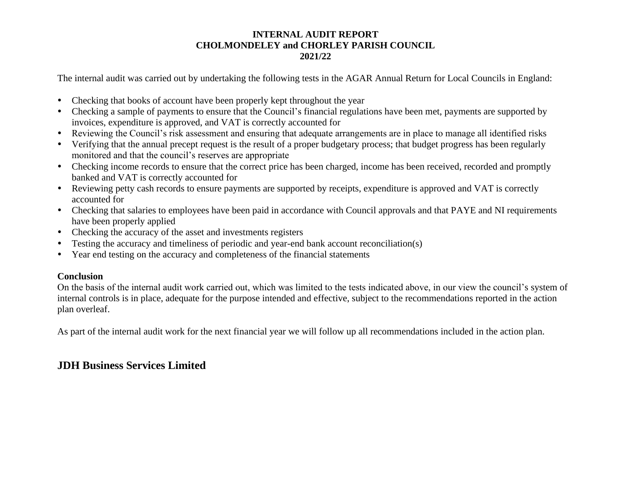The internal audit was carried out by undertaking the following tests in the AGAR Annual Return for Local Councils in England:

- Checking that books of account have been properly kept throughout the year
- Checking a sample of payments to ensure that the Council's financial regulations have been met, payments are supported by invoices, expenditure is approved, and VAT is correctly accounted for
- Reviewing the Council's risk assessment and ensuring that adequate arrangements are in place to manage all identified risks
- Verifying that the annual precept request is the result of a proper budgetary process; that budget progress has been regularly monitored and that the council's reserves are appropriate
- Checking income records to ensure that the correct price has been charged, income has been received, recorded and promptly banked and VAT is correctly accounted for
- Reviewing petty cash records to ensure payments are supported by receipts, expenditure is approved and VAT is correctly accounted for
- Checking that salaries to employees have been paid in accordance with Council approvals and that PAYE and NI requirements have been properly applied
- Checking the accuracy of the asset and investments registers
- Testing the accuracy and timeliness of periodic and year-end bank account reconciliation(s)
- Year end testing on the accuracy and completeness of the financial statements

### **Conclusion**

On the basis of the internal audit work carried out, which was limited to the tests indicated above, in our view the council's system of internal controls is in place, adequate for the purpose intended and effective, subject to the recommendations reported in the action plan overleaf.

As part of the internal audit work for the next financial year we will follow up all recommendations included in the action plan.

# **JDH Business Services Limited**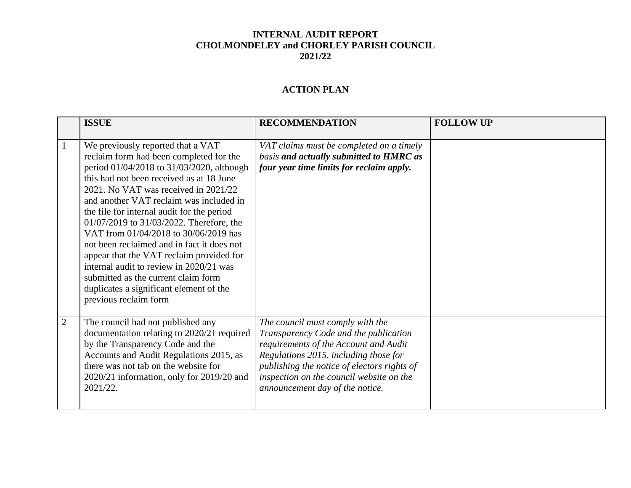## **ACTION PLAN**

|                | <b>ISSUE</b>                                                                                                                                                                                                                                                                                                                                                                                                                                                                                                                                                                                                                                | <b>RECOMMENDATION</b>                                                                                                                                                                                                                                                                     | <b>FOLLOW UP</b> |
|----------------|---------------------------------------------------------------------------------------------------------------------------------------------------------------------------------------------------------------------------------------------------------------------------------------------------------------------------------------------------------------------------------------------------------------------------------------------------------------------------------------------------------------------------------------------------------------------------------------------------------------------------------------------|-------------------------------------------------------------------------------------------------------------------------------------------------------------------------------------------------------------------------------------------------------------------------------------------|------------------|
| $\perp$        | We previously reported that a VAT<br>reclaim form had been completed for the<br>period 01/04/2018 to 31/03/2020, although<br>this had not been received as at 18 June<br>2021. No VAT was received in 2021/22<br>and another VAT reclaim was included in<br>the file for internal audit for the period<br>01/07/2019 to 31/03/2022. Therefore, the<br>VAT from 01/04/2018 to 30/06/2019 has<br>not been reclaimed and in fact it does not<br>appear that the VAT reclaim provided for<br>internal audit to review in 2020/21 was<br>submitted as the current claim form<br>duplicates a significant element of the<br>previous reclaim form | VAT claims must be completed on a timely<br>basis and actually submitted to HMRC as<br>four year time limits for reclaim apply.                                                                                                                                                           |                  |
| $\overline{2}$ | The council had not published any<br>documentation relating to 2020/21 required<br>by the Transparency Code and the<br>Accounts and Audit Regulations 2015, as<br>there was not tab on the website for<br>$2020/21$ information, only for $2019/20$ and<br>2021/22.                                                                                                                                                                                                                                                                                                                                                                         | The council must comply with the<br>Transparency Code and the publication<br>requirements of the Account and Audit<br>Regulations 2015, including those for<br>publishing the notice of electors rights of<br>inspection on the council website on the<br>announcement day of the notice. |                  |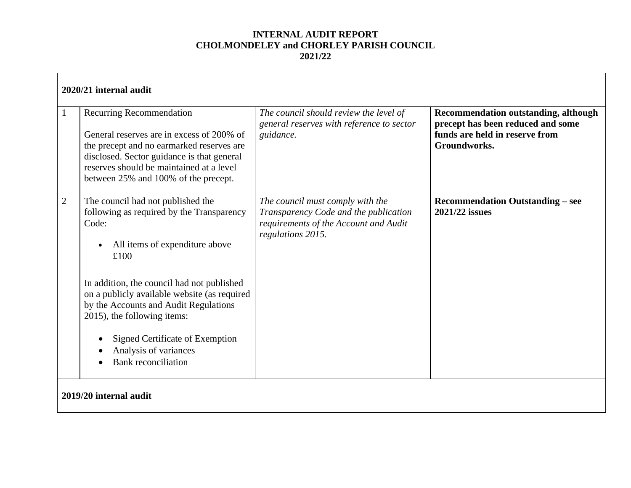|                        | 2020/21 internal audit<br>Recurring Recommendation<br>General reserves are in excess of 200% of<br>the precept and no earmarked reserves are<br>disclosed. Sector guidance is that general<br>reserves should be maintained at a level<br>between 25% and 100% of the precept.                                                                                                                    | The council should review the level of<br>general reserves with reference to sector<br>guidance.                                        | <b>Recommendation outstanding, although</b><br>precept has been reduced and some<br>funds are held in reserve from<br>Groundworks. |
|------------------------|---------------------------------------------------------------------------------------------------------------------------------------------------------------------------------------------------------------------------------------------------------------------------------------------------------------------------------------------------------------------------------------------------|-----------------------------------------------------------------------------------------------------------------------------------------|------------------------------------------------------------------------------------------------------------------------------------|
| $\overline{2}$         | The council had not published the<br>following as required by the Transparency<br>Code:<br>All items of expenditure above<br>£100<br>In addition, the council had not published<br>on a publicly available website (as required<br>by the Accounts and Audit Regulations<br>2015), the following items:<br>Signed Certificate of Exemption<br>Analysis of variances<br><b>Bank</b> reconciliation | The council must comply with the<br>Transparency Code and the publication<br>requirements of the Account and Audit<br>regulations 2015. | <b>Recommendation Outstanding - see</b><br>2021/22 issues                                                                          |
| 2019/20 internal audit |                                                                                                                                                                                                                                                                                                                                                                                                   |                                                                                                                                         |                                                                                                                                    |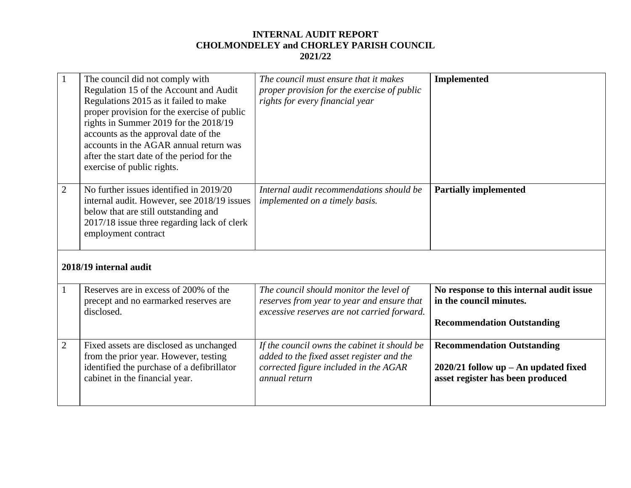|                | The council did not comply with<br>Regulation 15 of the Account and Audit<br>Regulations 2015 as it failed to make<br>proper provision for the exercise of public<br>rights in Summer 2019 for the 2018/19<br>accounts as the approval date of the<br>accounts in the AGAR annual return was<br>after the start date of the period for the<br>exercise of public rights. | The council must ensure that it makes<br>proper provision for the exercise of public<br>rights for every financial year              | <b>Implemented</b>                                                  |  |  |
|----------------|--------------------------------------------------------------------------------------------------------------------------------------------------------------------------------------------------------------------------------------------------------------------------------------------------------------------------------------------------------------------------|--------------------------------------------------------------------------------------------------------------------------------------|---------------------------------------------------------------------|--|--|
| $\overline{2}$ | No further issues identified in 2019/20<br>internal audit. However, see 2018/19 issues<br>below that are still outstanding and<br>2017/18 issue three regarding lack of clerk<br>employment contract                                                                                                                                                                     | Internal audit recommendations should be<br>implemented on a timely basis.                                                           | <b>Partially implemented</b>                                        |  |  |
|                | 2018/19 internal audit                                                                                                                                                                                                                                                                                                                                                   |                                                                                                                                      |                                                                     |  |  |
|                | Reserves are in excess of 200% of the<br>precept and no earmarked reserves are<br>disclosed.                                                                                                                                                                                                                                                                             | The council should monitor the level of<br>reserves from year to year and ensure that<br>excessive reserves are not carried forward. | No response to this internal audit issue<br>in the council minutes. |  |  |

| uiscioscu.                                                                                                                                                       | excessive reserves are not carried forward.                                                                                                         | <b>Recommendation Outstanding</b>                                                                               |
|------------------------------------------------------------------------------------------------------------------------------------------------------------------|-----------------------------------------------------------------------------------------------------------------------------------------------------|-----------------------------------------------------------------------------------------------------------------|
| Fixed assets are disclosed as unchanged<br>from the prior year. However, testing<br>identified the purchase of a defibrillator<br>cabinet in the financial year. | If the council owns the cabinet it should be<br>added to the fixed asset register and the<br>corrected figure included in the AGAR<br>annual return | <b>Recommendation Outstanding</b><br>$2020/21$ follow up – An updated fixed<br>asset register has been produced |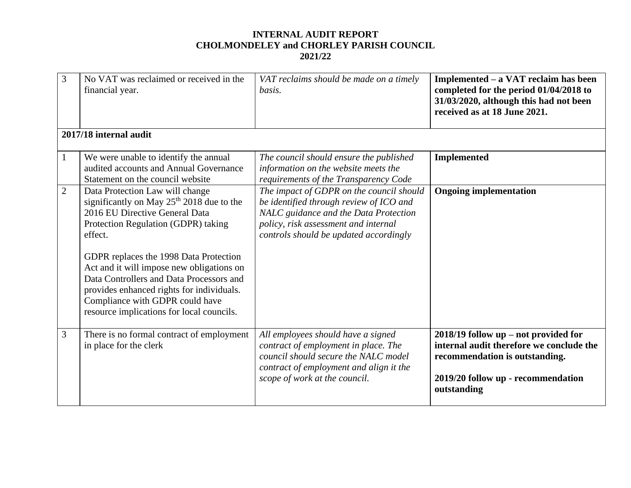| 3              | No VAT was reclaimed or received in the<br>financial year.                                                                                                                                                                                                                                                                                                                                                                                   | VAT reclaims should be made on a timely<br>basis.                                                                                                                                                              | Implemented – a VAT reclaim has been<br>completed for the period 01/04/2018 to<br>31/03/2020, although this had not been<br>received as at 18 June 2021.                  |  |
|----------------|----------------------------------------------------------------------------------------------------------------------------------------------------------------------------------------------------------------------------------------------------------------------------------------------------------------------------------------------------------------------------------------------------------------------------------------------|----------------------------------------------------------------------------------------------------------------------------------------------------------------------------------------------------------------|---------------------------------------------------------------------------------------------------------------------------------------------------------------------------|--|
|                | 2017/18 internal audit                                                                                                                                                                                                                                                                                                                                                                                                                       |                                                                                                                                                                                                                |                                                                                                                                                                           |  |
| 1              | We were unable to identify the annual<br>audited accounts and Annual Governance<br>Statement on the council website                                                                                                                                                                                                                                                                                                                          | The council should ensure the published<br>information on the website meets the<br>requirements of the Transparency Code                                                                                       | <b>Implemented</b>                                                                                                                                                        |  |
| $\overline{2}$ | Data Protection Law will change<br>significantly on May 25 <sup>th</sup> 2018 due to the<br>2016 EU Directive General Data<br>Protection Regulation (GDPR) taking<br>effect.<br>GDPR replaces the 1998 Data Protection<br>Act and it will impose new obligations on<br>Data Controllers and Data Processors and<br>provides enhanced rights for individuals.<br>Compliance with GDPR could have<br>resource implications for local councils. | The impact of GDPR on the council should<br>be identified through review of ICO and<br>NALC guidance and the Data Protection<br>policy, risk assessment and internal<br>controls should be updated accordingly | <b>Ongoing implementation</b>                                                                                                                                             |  |
| 3              | There is no formal contract of employment<br>in place for the clerk                                                                                                                                                                                                                                                                                                                                                                          | All employees should have a signed<br>contract of employment in place. The<br>council should secure the NALC model<br>contract of employment and align it the<br>scope of work at the council.                 | $2018/19$ follow up – not provided for<br>internal audit therefore we conclude the<br>recommendation is outstanding.<br>2019/20 follow up - recommendation<br>outstanding |  |